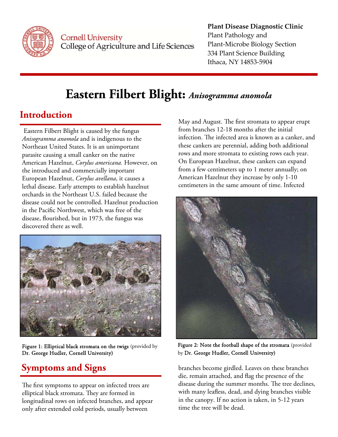

**Cornell University** College of Agriculture and Life Sciences

#### **Plant Disease Diagnostic Clinic** Plant Pathology and Plant‐Microbe Biology Section 334 Plant Science Building Ithaca, NY 14853‐5904

# **Eastern Filbert Blight:** *Anisogramma anomola*

### **Introduction**

 Eastern Filbert Blight is caused by the fungus *Anisogramma anomola* and is indigenous to the Northeast United States. It is an unimportant parasite causing a small canker on the native American Hazelnut, *Corylus americana.* However, on the introduced and commercially important European Hazelnut, *Corylus avellana*, it causes a lethal disease. Early attempts to establish hazelnut orchards in the Northeast U.S. failed because the disease could not be controlled. Hazelnut production in the Pacific Northwest, which was free of the disease, flourished, but in 1973, the fungus was discovered there as well.



Figure 1: Elliptical black stromata on the twigs (provided by Dr. George Hudler, Cornell University)

## **Symptoms and Signs**

The first symptoms to appear on infected trees are elliptical black stromata. They are formed in longitudinal rows on infected branches, and appear only after extended cold periods, usually between

May and August. The first stromata to appear erupt from branches 12-18 months after the initial infection. The infected area is known as a canker, and these cankers are perennial, adding both additional rows and more stromata to existing rows each year. On European Hazelnut, these cankers can expand from a few centimeters up to 1 meter annually; on American Hazelnut they increase by only 1-10 centimeters in the same amount of time. Infected



Figure 2: Note the football shape of the stromata (provided by Dr. George Hudler, Cornell University)

branches become girdled. Leaves on these branches die, remain attached, and flag the presence of the disease during the summer months. The tree declines, with many leafless, dead, and dying branches visible in the canopy. If no action is taken, in 5-12 years time the tree will be dead.